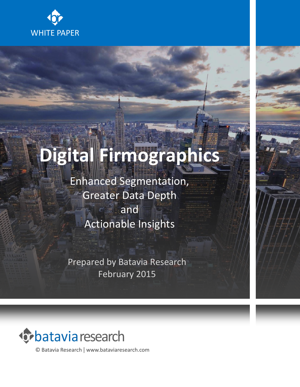

# **Digital Firmographics**

Enhanced Segmentation, Greater Data Depth and Actionable Insights

Prepared by Batavia Research February 2015



© Batavia Research | www.bataviaresearch.com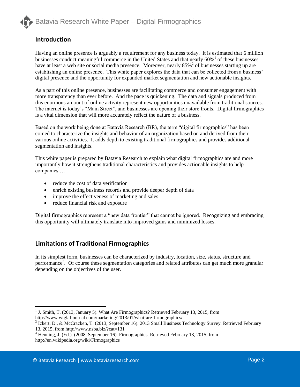

# **Introduction**

Having an online presence is arguably a requirement for any business today. It is estimated that 6 million businesses conduct meaningful commerce in the United States and that nearly  $60\%$ <sup>1</sup> of these businesses have at least a web site or social media presence. Moreover, nearly 85%<sup>2</sup> of businesses starting up are establishing an online presence. This white paper explores the data that can be collected from a business' digital presence and the opportunity for expanded market segmentation and new actionable insights.

As a part of this online presence, businesses are facilitating commerce and consumer engagement with more transparency than ever before. And the pace is quickening. The data and signals produced from this enormous amount of online activity represent new opportunities unavailable from traditional sources. The internet is today's "Main Street", and businesses are opening their store fronts. Digital firmographics is a vital dimension that will more accurately reflect the nature of a business.

Based on the work being done at Batavia Research (BR), the term "digital firmographics" has been coined to characterize the insights and behavior of an organization based on and derived from their various online activities. It adds depth to existing traditional firmographics and provides additional segmentation and insights.

This white paper is prepared by Batavia Research to explain what digital firmographics are and more importantly how it strengthens traditional characteristics and provides actionable insights to help companies …

- reduce the cost of data verification
- enrich existing business records and provide deeper depth of data
- improve the effectiveness of marketing and sales
- reduce financial risk and exposure

Digital firmographics represent a "new data frontier" that cannot be ignored. Recognizing and embracing this opportunity will ultimately translate into improved gains and minimized losses.

## **Limitations of Traditional Firmographics**

In its simplest form, businesses can be characterized by industry, location, size, status, structure and performance<sup>3</sup>. Of course these segmentation categories and related attributes can get much more granular depending on the objectives of the user.

 $\overline{a}$ 

<sup>&</sup>lt;sup>1</sup> J. Smith, T. (2013, January 5). What Are Firmographics? Retrieved February 13, 2015, from http://www.wiglafjournal.com/marketing/2013/01/what-are-firmographics/

<sup>&</sup>lt;sup>2</sup> Ickert, D., & McCracken, T. (2013, September 16). 2013 Small Business Technology Survey. Retrieved February 13, 2015, from http://www.nsba.biz/?cat=131

<sup>3</sup> Henning, J. (Ed.). (2008, September 16). Firmographics. Retrieved February 13, 2015, from http://en.wikipedia.org/wiki/Firmographics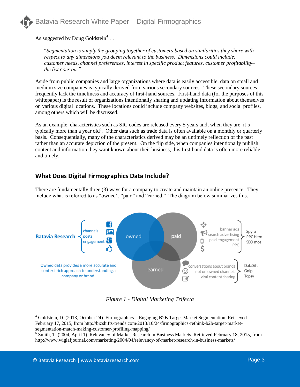

As suggested by Doug Goldstein<sup>4</sup> ...

"*Segmentation is simply the grouping together of customers based on similarities they share with respect to any dimensions you deem relevant to the business. Dimensions could include; customer needs, channel preferences, interest in specific product features, customer profitability– the list goes on."*

Aside from public companies and large organizations where data is easily accessible, data on small and medium size companies is typically derived from various secondary sources. These secondary sources frequently lack the timeliness and accuracy of first-hand sources. First-hand data (for the purposes of this whitepaper) is the result of organizations intentionally sharing and updating information about themselves on various digital locations. These locations could include company websites, blogs, and social profiles, among others which will be discussed.

As an example, characteristics such as SIC codes are released every 5 years and, when they are, it's typically more than a year old<sup>5</sup>. Other data such as trade data is often available on a monthly or quarterly basis. Consequentially, many of the characteristics derived may be an untimely reflection of the past rather than an accurate depiction of the present. On the flip side, when companies intentionally publish content and information they want known about their business, this first-hand data is often more reliable and timely.

# **What Does Digital Firmographics Data Include?**

There are fundamentally three (3) ways for a company to create and maintain an online presence. They include what is referred to as "owned", "paid" and "earned." The diagram below summarizes this.



*Figure 1 - Digital Marketing Trifecta*

 $\overline{a}$ 

 $4$  Goldstein, D. (2013, October 24). Firmographics – Engaging B2B Target Market Segmentation. Retrieved February 17, 2015, from http://bizshifts-trends.com/2013/10/24/firmographics-rethink-b2b-target-marketsegmentation-match-making-customer-profiling-mapping/

<sup>&</sup>lt;sup>5</sup> Smith, T. (2004, April 1). Relevancy of Market Research in Business Markets. Retrieved February 18, 2015, from http://www.wiglafjournal.com/marketing/2004/04/relevancy-of-market-research-in-business-markets/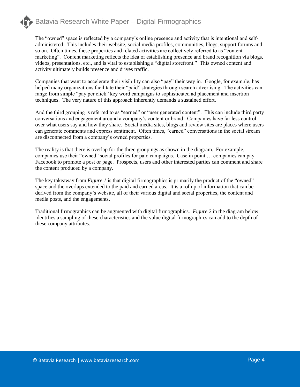The "owned" space is reflected by a company's online presence and activity that is intentional and selfadministered. This includes their website, social media profiles, communities, blogs, support forums and so on. Often times, these properties and related activities are collectively referred to as "content marketing". Content marketing reflects the idea of establishing presence and brand recognition via blogs, videos, presentations, etc., and is vital to establishing a "digital storefront." This owned content and activity ultimately builds presence and drives traffic.

Companies that want to accelerate their visibility can also "pay" their way in. Google, for example, has helped many organizations facilitate their "paid" strategies through search advertising. The activities can range from simple "pay per click" key word campaigns to sophisticated ad placement and insertion techniques. The very nature of this approach inherently demands a sustained effort.

And the third grouping is referred to as "earned" or "user generated content". This can include third party conversations and engagement around a company's content or brand. Companies have far less control over what users say and how they share. Social media sites, blogs and review sites are places where users can generate comments and express sentiment. Often times, "earned" conversations in the social stream are disconnected from a company's owned properties.

The reality is that there is overlap for the three groupings as shown in the diagram. For example, companies use their "owned" social profiles for paid campaigns. Case in point … companies can pay Facebook to promote a post or page. Prospects, users and other interested parties can comment and share the content produced by a company.

The key takeaway from *Figure 1* is that digital firmographics is primarily the product of the "owned" space and the overlaps extended to the paid and earned areas. It is a rollup of information that can be derived from the company's website, all of their various digital and social properties, the content and media posts, and the engagements.

Traditional firmographics can be augmented with digital firmographics. *Figure 2* in the diagram below identifies a sampling of these characteristics and the value digital firmographics can add to the depth of these company attributes.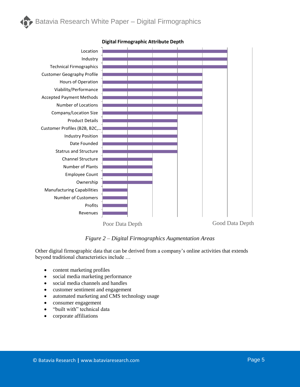

#### **Digital Firmographic Attribute Depth**

*Figure 2 – Digital Firmographics Augmentation Areas*

Other digital firmographic data that can be derived from a company's online activities that extends beyond traditional characteristics include …

- content marketing profiles
- social media marketing performance
- social media channels and handles
- customer sentiment and engagement
- automated marketing and CMS technology usage
- consumer engagement
- "built with" technical data
- corporate affiliations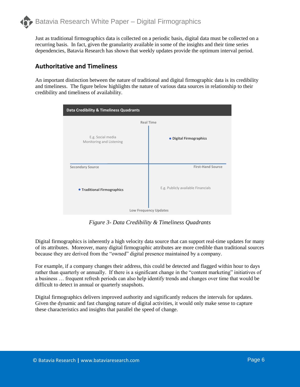Just as traditional firmographics data is collected on a periodic basis, digital data must be collected on a recurring basis. In fact, given the granularity available in some of the insights and their time series dependencies, Batavia Research has shown that weekly updates provide the optimum interval period.

# **Authoritative and Timeliness**

An important distinction between the nature of traditional and digital firmographic data is its credibility and timeliness. The figure below highlights the nature of various data sources in relationship to their credibility and timeliness of availability.

| Data Credibility & Timeliness Quadrants       |                                    |
|-----------------------------------------------|------------------------------------|
| <b>Real Time</b>                              |                                    |
| E.g. Social media<br>Monitoring and Listening | • Digital Firmographics            |
| <b>Secondary Source</b>                       | <b>First-Hand Source</b>           |
| <b>• Traditional Firmographics</b>            | E.g. Publicly available Financials |
| Low Frequency Updates                         |                                    |

*Figure 3- Data Credibility & Timeliness Quadrants*

Digital firmographics is inherently a high velocity data source that can support real-time updates for many of its attributes. Moreover, many digital firmographic attributes are more credible than traditional sources because they are derived from the "owned" digital presence maintained by a company.

For example, if a company changes their address, this could be detected and flagged within hour to days rather than quarterly or annually. If there is a significant change in the "content marketing" initiatives of a business … frequent refresh periods can also help identify trends and changes over time that would be difficult to detect in annual or quarterly snapshots.

Digital firmographics delivers improved authority and significantly reduces the intervals for updates. Given the dynamic and fast changing nature of digital activities, it would only make sense to capture these characteristics and insights that parallel the speed of change.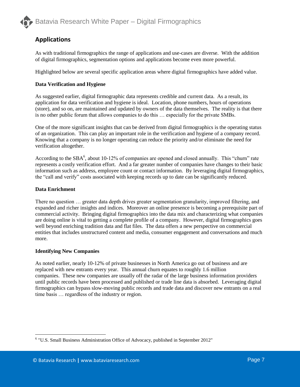# **Applications**

As with traditional firmographics the range of applications and use-cases are diverse. With the addition of digital firmographics, segmentation options and applications become even more powerful.

Highlighted below are several specific application areas where digital firmographics have added value.

#### **Data Verification and Hygiene**

As suggested earlier, digital firmographic data represents credible and current data. As a result, its application for data verification and hygiene is ideal. Location, phone numbers, hours of operations (store), and so on, are maintained and updated by owners of the data themselves. The reality is that there is no other public forum that allows companies to do this … especially for the private SMBs.

One of the more significant insights that can be derived from digital firmographics is the operating status of an organization. This can play an important role in the verification and hygiene of a company record. Knowing that a company is no longer operating can reduce the priority and/or eliminate the need for verification altogether.

According to the SBA $<sup>6</sup>$ , about 10-12% of companies are opened and closed annually. This "churn" rate</sup> represents a costly verification effort. And a far greater number of companies have changes to their basic information such as address, employee count or contact information. By leveraging digital firmographics, the "call and verify" costs associated with keeping records up to date can be significantly reduced.

### **Data Enrichment**

There no question … greater data depth drives greater segmentation granularity, improved filtering, and expanded and richer insights and indices. Moreover an online presence is becoming a prerequisite part of commercial activity. Bringing digital firmographics into the data mix and characterizing what companies are doing online is vital to getting a complete profile of a company. However, digital firmographics goes well beyond enriching tradition data and flat files. The data offers a new perspective on commercial entities that includes unstructured content and media, consumer engagement and conversations and much more.

#### **Identifying New Companies**

 $\overline{a}$ 

As noted earlier, nearly 10-12% of private businesses in North America go out of business and are replaced with new entrants every year. This annual churn equates to roughly 1.6 million companies. These new companies are usually off the radar of the large business information providers until public records have been processed and published or trade line data is absorbed. Leveraging digital firmographics can bypass slow-moving public records and trade data and discover new entrants on a real time basis … regardless of the industry or region.

 $6$  "U.S. Small Business Administration Office of Advocacy, published in September 2012"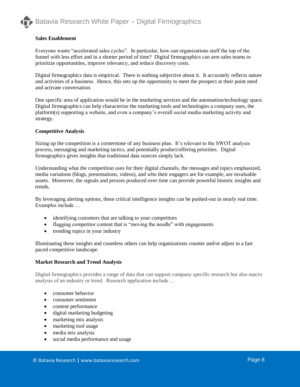

#### **Sales Enablement**

Everyone wants "accelerated sales cycles". In particular, how can organizations stuff the top of the funnel with less effort and in a shorter period of time? Digital firmographics can arm sales teams to prioritize opportunities, improve relevancy, and reduce discovery costs.

Digital firmographics data is empirical. There is nothing subjective about it. It accurately reflects nature and activities of a business. Hence, this sets up the opportunity to meet the prospect at their point need and activate conversation.

One specific area of application would be in the marketing services and the automation/technology space. Digital firmographics can help characterize the marketing tools and technologies a company uses, the platform(s) supporting a website, and even a company's overall social media marketing activity and strategy.

#### **Competitive Analysis**

Sizing up the competition is a cornerstone of any business plan. It's relevant to the SWOT analysis process, messaging and marketing tactics, and potentially product/offering priorities. Digital firmographics gives insights that traditional data sources simply lack.

Understanding what the competition uses for their digital channels, the messages and topics emphasized, media variations (blogs, presentations, videos), and who their engagers are for example, are invaluable assets. Moreover, the signals and proxies produced over time can provide powerful historic insights and trends.

By leveraging alerting options, these critical intelligence insights can be pushed-out in nearly real time. Examples include …

- identifying customers that are talking to your competitors
- flagging competitor content that is "moving the needle" with engagements
- trending topics in your industry

Illuminating these insights and countless others can help organizations counter and/or adjust in a fast paced competitive landscape.

#### **Market Research and Trend Analysis**

Digital firmographics provides a range of data that can support company specific research but also macro analysis of an industry or trend. Research application include …

- consumer behavior
- consumer sentiment
- content performance
- digital marketing budgeting
- marketing mix analysis
- marketing tool usage
- media mix analysis
- social media performance and usage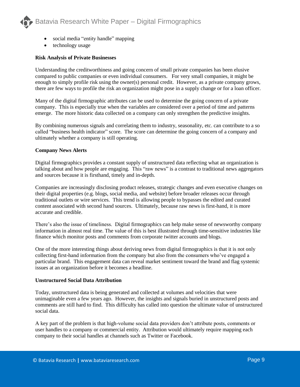

- social media "entity handle" mapping
- technology usage

#### **Risk Analysis of Private Businesses**

Understanding the creditworthiness and going concern of small private companies has been elusive compared to public companies or even individual consumers. For very small companies, it might be enough to simply profile risk using the owner(s) personal credit. However, as a private company grows, there are few ways to profile the risk an organization might pose in a supply change or for a loan officer.

Many of the digital firmographic attributes can be used to determine the going concern of a private company. This is especially true when the variables are considered over a period of time and patterns emerge. The more historic data collected on a company can only strengthen the predictive insights.

By combining numerous signals and correlating them to industry, seasonality, etc. can contribute to a so called "business health indicator" score. The score can determine the going concern of a company and ultimately whether a company is still operating.

#### **Company News Alerts**

Digital firmographics provides a constant supply of unstructured data reflecting what an organization is talking about and how people are engaging. This "raw news" is a contrast to traditional news aggregators and sources because it is firsthand, timely and in-depth.

Companies are increasingly disclosing product releases, strategic changes and even executive changes on their digital properties (e.g. blogs, social media, and website) before broader releases occur through traditional outlets or wire services. This trend is allowing people to bypasses the edited and curated content associated with second hand sources. Ultimately, because raw news is first-hand, it is more accurate and credible.

There's also the issue of timeliness. Digital firmographics can help make sense of newsworthy company information in almost real time. The value of this is best illustrated through time-sensitive industries like finance which monitor posts and comments from corporate twitter accounts and blogs.

One of the more interesting things about deriving news from digital firmographics is that it is not only collecting first-hand information from the company but also from the consumers who've engaged a particular brand. This engagement data can reveal market sentiment toward the brand and flag systemic issues at an organization before it becomes a headline.

#### **Unstructured Social Data Attribution**

Today, unstructured data is being generated and collected at volumes and velocities that were unimaginable even a few years ago. However, the insights and signals buried in unstructured posts and comments are still hard to find. This difficulty has called into question the ultimate value of unstructured social data.

A key part of the problem is that high-volume social data providers don't attribute posts, comments or user handles to a company or commercial entity. Attribution would ultimately require mapping each company to their social handles at channels such as Twitter or Facebook.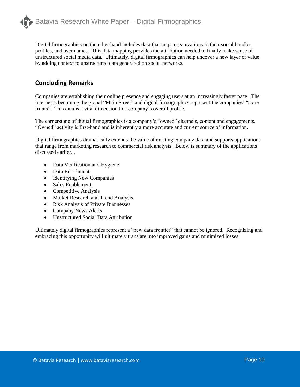

Digital firmographics on the other hand includes data that maps organizations to their social handles, profiles, and user names. This data mapping provides the attribution needed to finally make sense of unstructured social media data. Ultimately, digital firmographics can help uncover a new layer of value by adding context to unstructured data generated on social networks.

## **Concluding Remarks**

Companies are establishing their online presence and engaging users at an increasingly faster pace. The internet is becoming the global "Main Street" and digital firmographics represent the companies' "store fronts". This data is a vital dimension to a company's overall profile.

The cornerstone of digital firmographics is a company's "owned" channels, content and engagements. "Owned" activity is first-hand and is inherently a more accurate and current source of information.

Digital firmographics dramatically extends the value of existing company data and supports applications that range from marketing research to commercial risk analysis. Below is summary of the applications discussed earlier...

- Data Verification and Hygiene
- Data Enrichment
- Identifying New Companies
- Sales Enablement
- Competitive Analysis
- Market Research and Trend Analysis
- Risk Analysis of Private Businesses
- Company News Alerts
- Unstructured Social Data Attribution

Ultimately digital firmographics represent a "new data frontier" that cannot be ignored. Recognizing and embracing this opportunity will ultimately translate into improved gains and minimized losses.